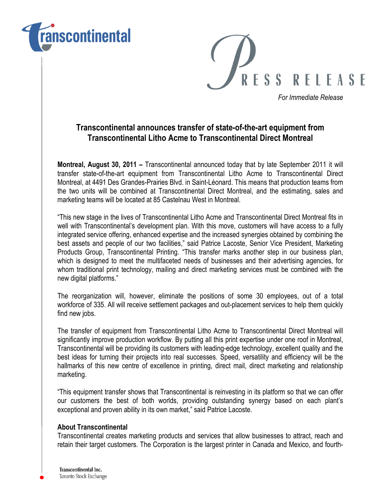



For Immediate Release

## Transcontinental announces transfer of state-of-the-art equipment from Transcontinental Litho Acme to Transcontinental Direct Montreal

Montreal, August 30, 2011 – Transcontinental announced today that by late September 2011 it will transfer state-of-the-art equipment from Transcontinental Litho Acme to Transcontinental Direct Montreal, at 4491 Des Grandes-Prairies Blvd. in Saint-Léonard. This means that production teams from the two units will be combined at Transcontinental Direct Montreal, and the estimating, sales and marketing teams will be located at 85 Castelnau West in Montreal.

"This new stage in the lives of Transcontinental Litho Acme and Transcontinental Direct Montreal fits in well with Transcontinental's development plan. With this move, customers will have access to a fully integrated service offering, enhanced expertise and the increased synergies obtained by combining the best assets and people of our two facilities," said Patrice Lacoste, Senior Vice President, Marketing Products Group, Transcontinental Printing. "This transfer marks another step in our business plan, which is designed to meet the multifaceted needs of businesses and their advertising agencies, for whom traditional print technology, mailing and direct marketing services must be combined with the new digital platforms."

The reorganization will, however, eliminate the positions of some 30 employees, out of a total workforce of 335. All will receive settlement packages and out-placement services to help them quickly find new jobs.

The transfer of equipment from Transcontinental Litho Acme to Transcontinental Direct Montreal will significantly improve production workflow. By putting all this print expertise under one roof in Montreal, Transcontinental will be providing its customers with leading-edge technology, excellent quality and the best ideas for turning their projects into real successes. Speed, versatility and efficiency will be the hallmarks of this new centre of excellence in printing, direct mail, direct marketing and relationship marketing.

"This equipment transfer shows that Transcontinental is reinvesting in its platform so that we can offer our customers the best of both worlds, providing outstanding synergy based on each plant's exceptional and proven ability in its own market," said Patrice Lacoste.

## About Transcontinental

Transcontinental creates marketing products and services that allow businesses to attract, reach and retain their target customers. The Corporation is the largest printer in Canada and Mexico, and fourth-